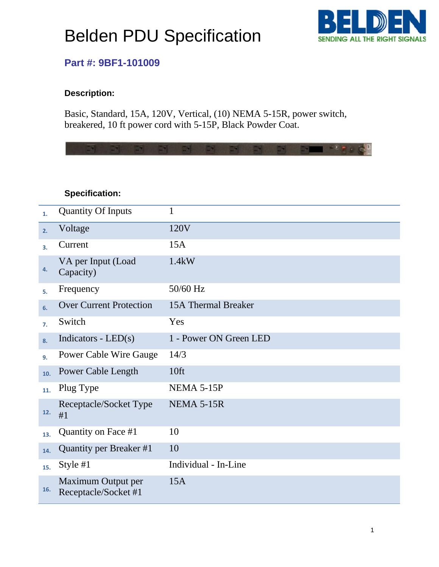# Belden PDU Specification



### **Part #: 9BF1-101009**

#### **Description:**

Basic, Standard, 15A, 120V, Vertical, (10) NEMA 5-15R, power switch, breakered, 10 ft power cord with 5-15P, Black Powder Coat.

 $\mathcal{L} \cdot \mathcal{L} = \mathcal{L} \cdot \mathcal{L} \cdot \mathcal{L} \cdot \mathcal{L} \cdot \mathcal{L} \cdot \mathcal{L} \cdot \mathcal{L} \cdot \mathcal{L} \cdot \mathcal{L} \cdot \mathcal{L} \cdot \mathcal{L} \cdot \mathcal{L} \cdot \mathcal{L} \cdot \mathcal{L} \cdot \mathcal{L} \cdot \mathcal{L} \cdot \mathcal{L} \cdot \mathcal{L} \cdot \mathcal{L} \cdot \mathcal{L} \cdot \mathcal{L} \cdot \mathcal{L} \cdot \mathcal{L} \cdot \mathcal{L} \cdot \mathcal{L} \cdot \mathcal{L$ 

### **Specification:**

| 1.  | <b>Quantity Of Inputs</b>                  | 1                      |
|-----|--------------------------------------------|------------------------|
| 2.  | Voltage                                    | 120V                   |
| 3.  | Current                                    | 15A                    |
| 4.  | VA per Input (Load<br>Capacity)            | 1.4kW                  |
| 5.  | Frequency                                  | 50/60 Hz               |
| 6.  | <b>Over Current Protection</b>             | 15A Thermal Breaker    |
| 7.  | Switch                                     | Yes                    |
| 8.  | Indicators - $LED(s)$                      | 1 - Power ON Green LED |
| 9.  | <b>Power Cable Wire Gauge</b>              | 14/3                   |
| 10. | Power Cable Length                         | 10ft                   |
| 11. | Plug Type                                  | <b>NEMA 5-15P</b>      |
| 12. | Receptacle/Socket Type<br>#1               | NEMA 5-15R             |
| 13. | Quantity on Face #1                        | 10                     |
| 14. | Quantity per Breaker #1                    | 10                     |
| 15. | Style #1                                   | Individual - In-Line   |
| 16. | Maximum Output per<br>Receptacle/Socket #1 | 15A                    |